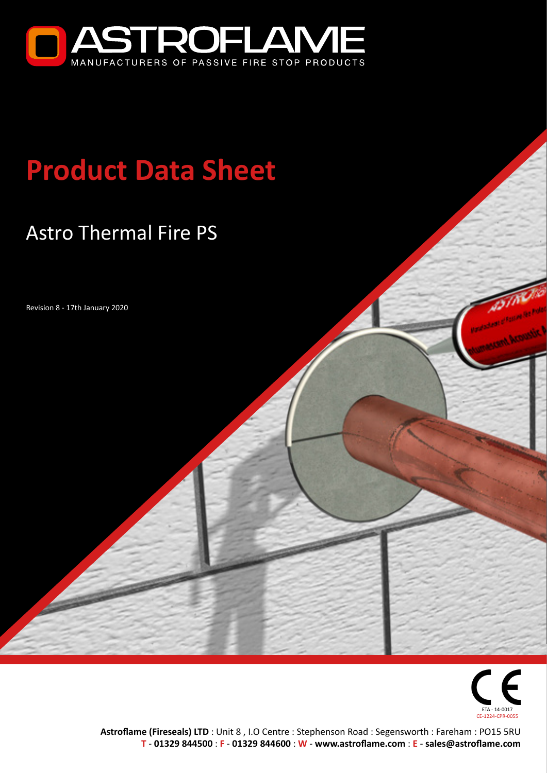

# **Product Data Sheet**

## Astro Thermal Fire PS

Revision 8 - 17th January 2020



**Astroflame (Fireseals) LTD** : Unit 8 , I.O Centre : Stephenson Road : Segensworth : Fareham : PO15 5RU **T** - **[01329 844500](tel:01329844500)** : **F** - **01329 844600** : **W** - **[www.astroflame.com](http://www.astroflame.com)** : **E** - **[sales@astroflame.com](mailto:sales%40astroflame.com?subject=)**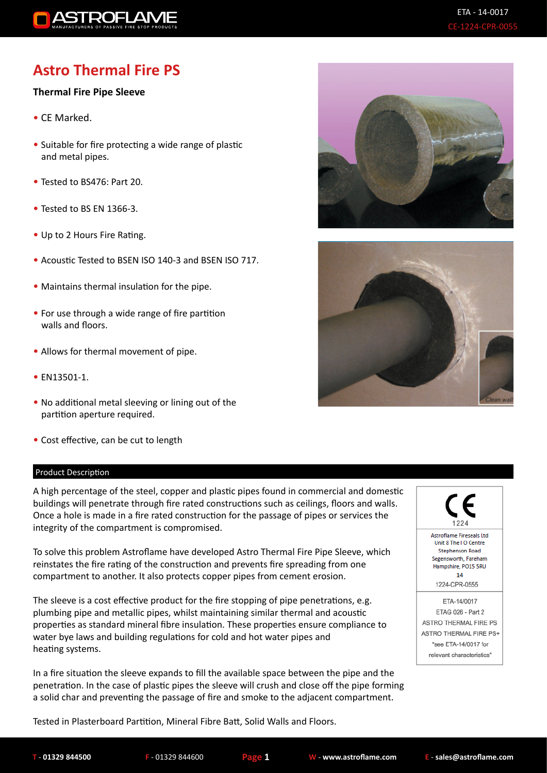

### **Astro Thermal Fire PS**

#### **Thermal Fire Pipe Sleeve**

- CE Marked.
- Suitable for fire protecting a wide range of plastic and metal pipes.
- Tested to BS476: Part 20.
- Tested to BS EN 1366-3.
- Up to 2 Hours Fire Rating.
- Acoustic Tested to BSEN ISO 140-3 and BSEN ISO 717.
- Maintains thermal insulation for the pipe.
- For use through a wide range of fire partition walls and floors.
- Allows for thermal movement of pipe.
- EN13501-1.
- No additional metal sleeving or lining out of the partition aperture required.
- Cost effective, can be cut to length

#### Product Description

A high percentage of the steel, copper and plastic pipes found in commercial and domestic buildings will penetrate through fire rated constructions such as ceilings, floors and walls. Once a hole is made in a fire rated construction for the passage of pipes or services the integrity of the compartment is compromised.

To solve this problem Astroflame have developed Astro Thermal Fire Pipe Sleeve, which reinstates the fire rating of the construction and prevents fire spreading from one compartment to another. It also protects copper pipes from cement erosion.

The sleeve is a cost effective product for the fire stopping of pipe penetrations, e.g. plumbing pipe and metallic pipes, whilst maintaining similar thermal and acoustic properties as standard mineral fibre insulation. These properties ensure compliance to water bye laws and building regulations for cold and hot water pipes and heating systems.

In a fire situation the sleeve expands to fill the available space between the pipe and the penetration. In the case of plastic pipes the sleeve will crush and close off the pipe forming a solid char and preventing the passage of fire and smoke to the adjacent compartment.







Tested in Plasterboard Partition, Mineral Fibre Batt, Solid Walls and Floors.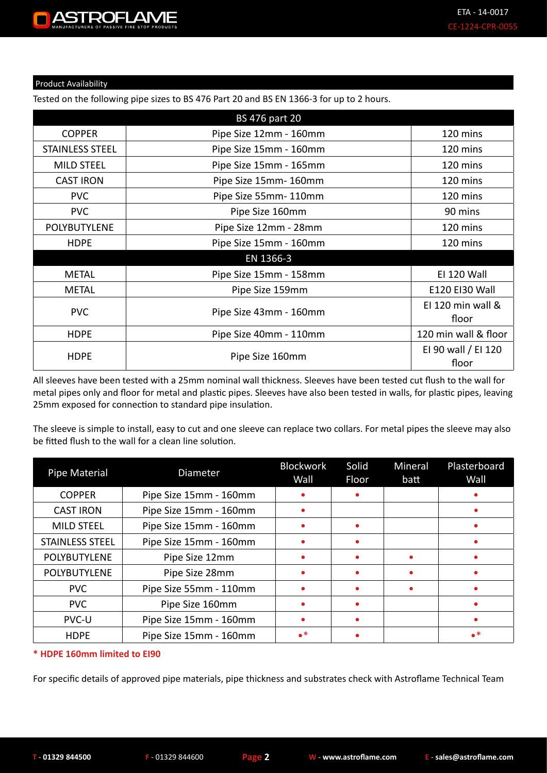ROEI ANJE

Product Availability

#### Tested on the following pipe sizes to BS 476 Part 20 and BS EN 1366-3 for up to 2 hours.

|                        | <b>BS 476 part 20</b>  |                              |
|------------------------|------------------------|------------------------------|
| <b>COPPER</b>          | Pipe Size 12mm - 160mm | 120 mins                     |
| <b>STAINLESS STEEL</b> | Pipe Size 15mm - 160mm | 120 mins                     |
| <b>MILD STEEL</b>      | Pipe Size 15mm - 165mm | 120 mins                     |
| <b>CAST IRON</b>       | Pipe Size 15mm-160mm   | 120 mins                     |
| <b>PVC</b>             | Pipe Size 55mm-110mm   | 120 mins                     |
| <b>PVC</b>             | Pipe Size 160mm        | 90 mins                      |
| POLYBUTYLENE           | Pipe Size 12mm - 28mm  | 120 mins                     |
| <b>HDPE</b>            | Pipe Size 15mm - 160mm | 120 mins                     |
|                        | EN 1366-3              |                              |
| <b>METAL</b>           | Pipe Size 15mm - 158mm | <b>EI 120 Wall</b>           |
| <b>METAL</b>           | Pipe Size 159mm        | E120 EI30 Wall               |
| <b>PVC</b>             | Pipe Size 43mm - 160mm | EI 120 min wall &<br>floor   |
| <b>HDPE</b>            | Pipe Size 40mm - 110mm | 120 min wall & floor         |
| <b>HDPE</b>            | Pipe Size 160mm        | EI 90 wall / EI 120<br>floor |

All sleeves have been tested with a 25mm nominal wall thickness. Sleeves have been tested cut flush to the wall for metal pipes only and floor for metal and plastic pipes. Sleeves have also been tested in walls, for plastic pipes, leaving 25mm exposed for connection to standard pipe insulation.

The sleeve is simple to install, easy to cut and one sleeve can replace two collars. For metal pipes the sleeve may also be fitted flush to the wall for a clean line solution.

| <b>Pipe Material</b>   | <b>Diameter</b>        | <b>Blockwork</b><br>Wall | Solid<br>Floor | Mineral<br>batt | Plasterboard<br>Wall |
|------------------------|------------------------|--------------------------|----------------|-----------------|----------------------|
| <b>COPPER</b>          | Pipe Size 15mm - 160mm |                          | ۰              |                 |                      |
| <b>CAST IRON</b>       | Pipe Size 15mm - 160mm |                          |                |                 |                      |
| <b>MILD STEEL</b>      | Pipe Size 15mm - 160mm |                          | $\bullet$      |                 |                      |
| <b>STAINLESS STEEL</b> | Pipe Size 15mm - 160mm |                          | ۰              |                 |                      |
| POLYBUTYLENE           | Pipe Size 12mm         |                          | $\bullet$      |                 |                      |
| POLYBUTYLENE           | Pipe Size 28mm         |                          | $\bullet$      |                 |                      |
| <b>PVC</b>             | Pipe Size 55mm - 110mm |                          | $\bullet$      |                 |                      |
| <b>PVC</b>             | Pipe Size 160mm        |                          | $\bullet$      |                 |                      |
| <b>PVC-U</b>           | Pipe Size 15mm - 160mm |                          | ۰              |                 |                      |
| <b>HDPE</b>            | Pipe Size 15mm - 160mm | $\bullet^*$              | $\bullet$      |                 | $\bullet^*$          |

#### **\* HDPE 160mm limited to EI90**

For specific details of approved pipe materials, pipe thickness and substrates check with Astroflame Technical Team